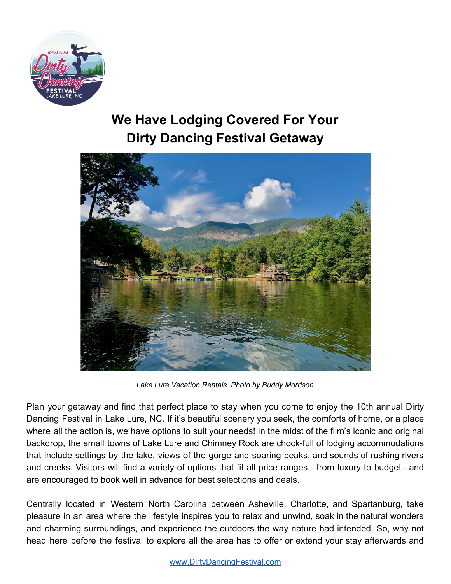

## **We Have Lodging Covered For Your Dirty Dancing Festival Getaway**



*Lake Lure Vacation Rentals. Photo by Buddy Morrison*

Plan your getaway and find that perfect place to stay when you come to enjoy the 10th annual Dirty Dancing Festival in Lake Lure, NC. If it's beautiful scenery you seek, the comforts of home, or a place where all the action is, we have options to suit your needs! In the midst of the film's iconic and original backdrop, the small towns of Lake Lure and Chimney Rock are chock-full of lodging accommodations that include settings by the lake, views of the gorge and soaring peaks, and sounds of rushing rivers and creeks. Visitors will find a variety of options that fit all price ranges - from luxury to budget - and are encouraged to book well in advance for best selections and deals.

Centrally located in Western North Carolina between Asheville, Charlotte, and Spartanburg, take pleasure in an area where the lifestyle inspires you to relax and unwind, soak in the natural wonders and charming surroundings, and experience the outdoors the way nature had intended. So, why not head here before the festival to explore all the area has to offer or extend your stay afterwards and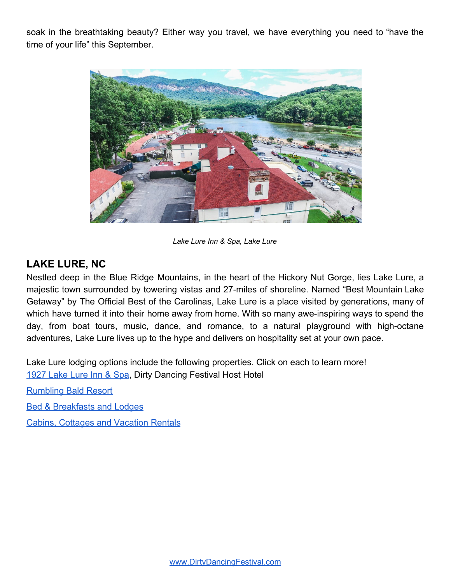soak in the breathtaking beauty? Either way you travel, we have everything you need to "have the time of your life" this September.



*Lake Lure Inn & Spa, Lake Lure*

## **LAKE LURE, NC**

Nestled deep in the Blue Ridge Mountains, in the heart of the Hickory Nut Gorge, lies Lake Lure, a majestic town surrounded by towering vistas and 27-miles of shoreline. Named "Best Mountain Lake Getaway" by The Official Best of the Carolinas, Lake Lure is a place visited by generations, many of which have turned it into their home away from home. With so many awe-inspiring ways to spend the day, from boat tours, music, dance, and romance, to a natural playground with high-octane adventures, Lake Lure lives up to the hype and delivers on hospitality set at your own pace.

Lake Lure lodging options include the following properties. Click on each to learn more! [1927 Lake Lure Inn & Spa,](https://www.lakelure.com/) Dirty Dancing Festival Host Hotel

[Rumbling Bald Resort](https://www.rumblingbald.com/)

[Bed & Breakfasts and Lodges](https://www.visitncsmalltowns.com/places-to-stay/?skip=0&sort=rankTitle&subcatids=3®ionids=3)

[Cabins, Cottages and Vacation Rentals](https://www.visitncsmalltowns.com/places-to-stay/?skip=0&sort=rankTitle&subcatids=2®ionids=3)